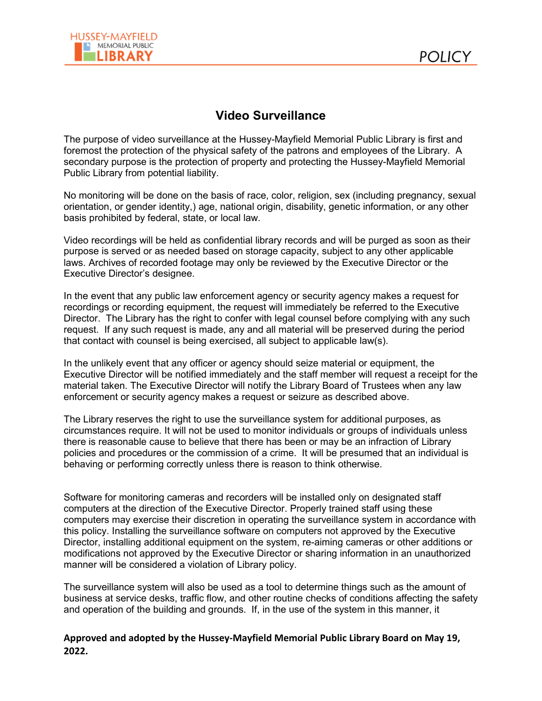

## **Video Surveillance**

The purpose of video surveillance at the Hussey-Mayfield Memorial Public Library is first and foremost the protection of the physical safety of the patrons and employees of the Library. A secondary purpose is the protection of property and protecting the Hussey-Mayfield Memorial Public Library from potential liability.

No monitoring will be done on the basis of race, color, religion, sex (including pregnancy, sexual orientation, or gender identity,) age, national origin, disability, genetic information, or any other basis prohibited by federal, state, or local law.

Video recordings will be held as confidential library records and will be purged as soon as their purpose is served or as needed based on storage capacity, subject to any other applicable laws. Archives of recorded footage may only be reviewed by the Executive Director or the Executive Director's designee.

In the event that any public law enforcement agency or security agency makes a request for recordings or recording equipment, the request will immediately be referred to the Executive Director. The Library has the right to confer with legal counsel before complying with any such request. If any such request is made, any and all material will be preserved during the period that contact with counsel is being exercised, all subject to applicable law(s).

In the unlikely event that any officer or agency should seize material or equipment, the Executive Director will be notified immediately and the staff member will request a receipt for the material taken. The Executive Director will notify the Library Board of Trustees when any law enforcement or security agency makes a request or seizure as described above.

The Library reserves the right to use the surveillance system for additional purposes, as circumstances require. It will not be used to monitor individuals or groups of individuals unless there is reasonable cause to believe that there has been or may be an infraction of Library policies and procedures or the commission of a crime. It will be presumed that an individual is behaving or performing correctly unless there is reason to think otherwise.

Software for monitoring cameras and recorders will be installed only on designated staff computers at the direction of the Executive Director. Properly trained staff using these computers may exercise their discretion in operating the surveillance system in accordance with this policy. Installing the surveillance software on computers not approved by the Executive Director, installing additional equipment on the system, re-aiming cameras or other additions or modifications not approved by the Executive Director or sharing information in an unauthorized manner will be considered a violation of Library policy.

The surveillance system will also be used as a tool to determine things such as the amount of business at service desks, traffic flow, and other routine checks of conditions affecting the safety and operation of the building and grounds. If, in the use of the system in this manner, it

**Approved and adopted by the Hussey-Mayfield Memorial Public Library Board on May 19, 2022.**